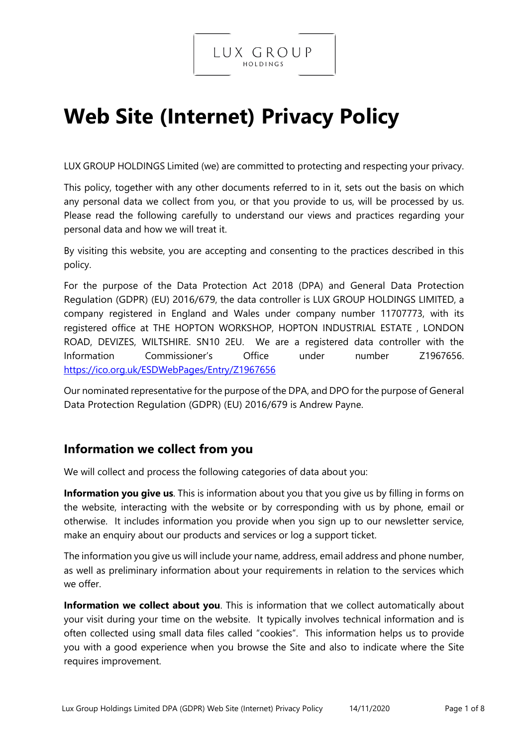

# **Web Site (Internet) Privacy Policy**

LUX GROUP HOLDINGS Limited (we) are committed to protecting and respecting your privacy.

This policy, together with any other documents referred to in it, sets out the basis on which any personal data we collect from you, or that you provide to us, will be processed by us. Please read the following carefully to understand our views and practices regarding your personal data and how we will treat it.

By visiting this website, you are accepting and consenting to the practices described in this policy.

For the purpose of the Data Protection Act 2018 (DPA) and General Data Protection Regulation (GDPR) (EU) 2016/679, the data controller is LUX GROUP HOLDINGS LIMITED, a company registered in England and Wales under company number 11707773, with its registered office at THE HOPTON WORKSHOP, HOPTON INDUSTRIAL ESTATE , LONDON ROAD, DEVIZES, WILTSHIRE. SN10 2EU. We are a registered data controller with the Information Commissioner's Office under number Z1967656. <https://ico.org.uk/ESDWebPages/Entry/Z1967656>

Our nominated representative for the purpose of the DPA, and DPO for the purpose of General Data Protection Regulation (GDPR) (EU) 2016/679 is Andrew Payne.

## **Information we collect from you**

We will collect and process the following categories of data about you:

**Information you give us**. This is information about you that you give us by filling in forms on the website, interacting with the website or by corresponding with us by phone, email or otherwise. It includes information you provide when you sign up to our newsletter service, make an enquiry about our products and services or log a support ticket.

The information you give us will include your name, address, email address and phone number, as well as preliminary information about your requirements in relation to the services which we offer.

**Information we collect about you**. This is information that we collect automatically about your visit during your time on the website. It typically involves technical information and is often collected using small data files called "cookies". This information helps us to provide you with a good experience when you browse the Site and also to indicate where the Site requires improvement.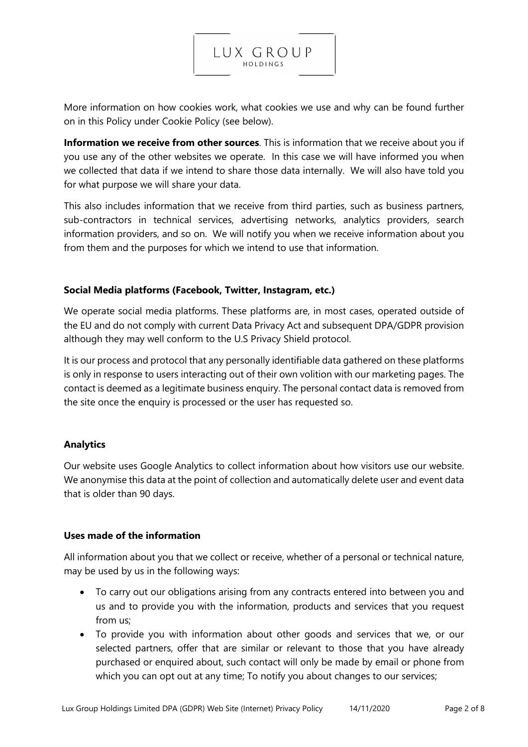

More information on how cookies work, what cookies we use and why can be found further on in this Policy under Cookie Policy (see below).

**Information we receive from other sources**. This is information that we receive about you if you use any of the other websites we operate. In this case we will have informed you when we collected that data if we intend to share those data internally. We will also have told you for what purpose we will share your data.

This also includes information that we receive from third parties, such as business partners, sub-contractors in technical services, advertising networks, analytics providers, search information providers, and so on. We will notify you when we receive information about you from them and the purposes for which we intend to use that information.

#### **Social Media platforms (Facebook, Twitter, Instagram, etc.)**

We operate social media platforms. These platforms are, in most cases, operated outside of the EU and do not comply with current Data Privacy Act and subsequent DPA/GDPR provision although they may well conform to the U.S Privacy Shield protocol.

It is our process and protocol that any personally identifiable data gathered on these platforms is only in response to users interacting out of their own volition with our marketing pages. The contact is deemed as a legitimate business enquiry. The personal contact data is removed from the site once the enquiry is processed or the user has requested so.

#### **Analytics**

Our website uses Google Analytics to collect information about how visitors use our website. We anonymise this data at the point of collection and automatically delete user and event data that is older than 90 days.

#### **Uses made of the information**

All information about you that we collect or receive, whether of a personal or technical nature, may be used by us in the following ways:

- To carry out our obligations arising from any contracts entered into between you and us and to provide you with the information, products and services that you request from us;
- To provide you with information about other goods and services that we, or our selected partners, offer that are similar or relevant to those that you have already purchased or enquired about, such contact will only be made by email or phone from which you can opt out at any time; To notify you about changes to our services;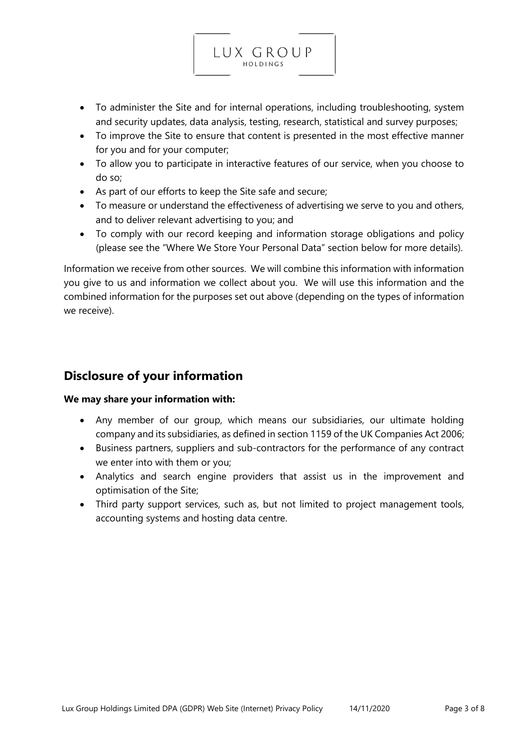• To administer the Site and for internal operations, including troubleshooting, system and security updates, data analysis, testing, research, statistical and survey purposes;

LUX GROUP HOLDINGS

- To improve the Site to ensure that content is presented in the most effective manner for you and for your computer;
- To allow you to participate in interactive features of our service, when you choose to do so;
- As part of our efforts to keep the Site safe and secure;
- To measure or understand the effectiveness of advertising we serve to you and others, and to deliver relevant advertising to you; and
- To comply with our record keeping and information storage obligations and policy (please see the "Where We Store Your Personal Data" section below for more details).

Information we receive from other sources. We will combine this information with information you give to us and information we collect about you. We will use this information and the combined information for the purposes set out above (depending on the types of information we receive).

## **Disclosure of your information**

#### **We may share your information with:**

- Any member of our group, which means our subsidiaries, our ultimate holding company and its subsidiaries, as defined in section 1159 of the UK Companies Act 2006;
- Business partners, suppliers and sub-contractors for the performance of any contract we enter into with them or you;
- Analytics and search engine providers that assist us in the improvement and optimisation of the Site;
- Third party support services, such as, but not limited to project management tools, accounting systems and hosting data centre.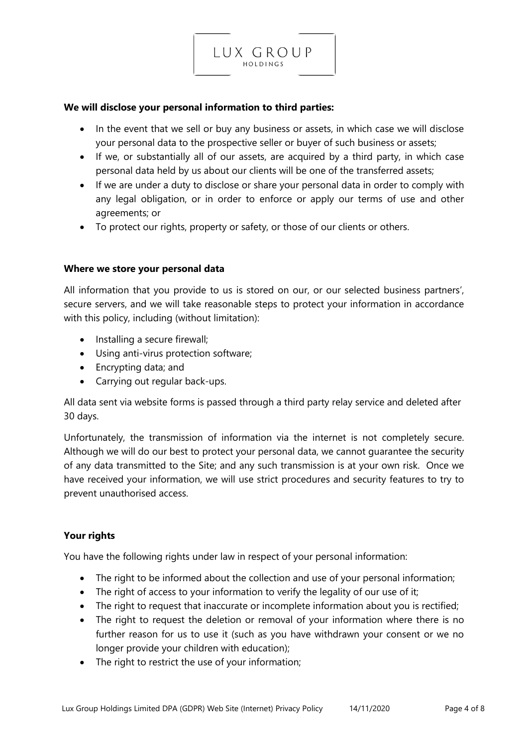

• In the event that we sell or buy any business or assets, in which case we will disclose your personal data to the prospective seller or buyer of such business or assets;

LUX GROUP HOLDINGS

- If we, or substantially all of our assets, are acquired by a third party, in which case personal data held by us about our clients will be one of the transferred assets;
- If we are under a duty to disclose or share your personal data in order to comply with any legal obligation, or in order to enforce or apply our terms of use and other agreements; or
- To protect our rights, property or safety, or those of our clients or others.

#### **Where we store your personal data**

All information that you provide to us is stored on our, or our selected business partners', secure servers, and we will take reasonable steps to protect your information in accordance with this policy, including (without limitation):

- Installing a secure firewall;
- Using anti-virus protection software;
- Encrypting data; and
- Carrying out regular back-ups.

All data sent via website forms is passed through a third party relay service and deleted after 30 days.

Unfortunately, the transmission of information via the internet is not completely secure. Although we will do our best to protect your personal data, we cannot guarantee the security of any data transmitted to the Site; and any such transmission is at your own risk. Once we have received your information, we will use strict procedures and security features to try to prevent unauthorised access.

#### **Your rights**

You have the following rights under law in respect of your personal information:

- The right to be informed about the collection and use of your personal information;
- The right of access to your information to verify the legality of our use of it;
- The right to request that inaccurate or incomplete information about you is rectified;
- The right to request the deletion or removal of your information where there is no further reason for us to use it (such as you have withdrawn your consent or we no longer provide your children with education);
- The right to restrict the use of your information;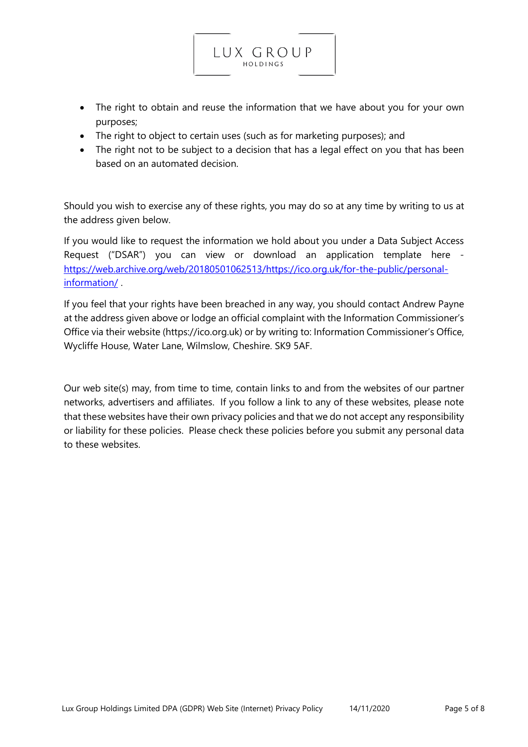• The right to obtain and reuse the information that we have about you for your own purposes;

LUX GROUP HOLDINGS

- The right to object to certain uses (such as for marketing purposes); and
- The right not to be subject to a decision that has a legal effect on you that has been based on an automated decision.

Should you wish to exercise any of these rights, you may do so at any time by writing to us at the address given below.

If you would like to request the information we hold about you under a Data Subject Access Request ("DSAR") you can view or download an application template here [https://web.archive.org/web/20180501062513/https://ico.org.uk/for-the-public/personal](https://web.archive.org/web/20180501062513/https:/ico.org.uk/for-the-public/personal-information/)[information/](https://web.archive.org/web/20180501062513/https:/ico.org.uk/for-the-public/personal-information/) .

If you feel that your rights have been breached in any way, you should contact Andrew Payne at the address given above or lodge an official complaint with the Information Commissioner's Office via their website (https://ico.org.uk) or by writing to: Information Commissioner's Office, Wycliffe House, Water Lane, Wilmslow, Cheshire. SK9 5AF.

Our web site(s) may, from time to time, contain links to and from the websites of our partner networks, advertisers and affiliates. If you follow a link to any of these websites, please note that these websites have their own privacy policies and that we do not accept any responsibility or liability for these policies. Please check these policies before you submit any personal data to these websites.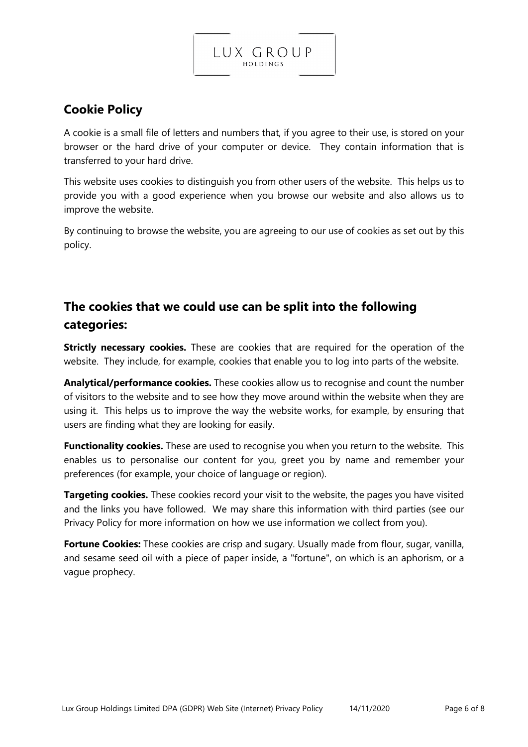## **Cookie Policy**

A cookie is a small file of letters and numbers that, if you agree to their use, is stored on your browser or the hard drive of your computer or device. They contain information that is transferred to your hard drive.

LUX GROUP HOLDINGS

This website uses cookies to distinguish you from other users of the website. This helps us to provide you with a good experience when you browse our website and also allows us to improve the website.

By continuing to browse the website, you are agreeing to our use of cookies as set out by this policy.

## **The cookies that we could use can be split into the following categories:**

**Strictly necessary cookies.** These are cookies that are required for the operation of the website. They include, for example, cookies that enable you to log into parts of the website.

**Analytical/performance cookies.** These cookies allow us to recognise and count the number of visitors to the website and to see how they move around within the website when they are using it. This helps us to improve the way the website works, for example, by ensuring that users are finding what they are looking for easily.

**Functionality cookies.** These are used to recognise you when you return to the website. This enables us to personalise our content for you, greet you by name and remember your preferences (for example, your choice of language or region).

**Targeting cookies.** These cookies record your visit to the website, the pages you have visited and the links you have followed. We may share this information with third parties (see our Privacy Policy for more information on how we use information we collect from you).

**Fortune Cookies:** These cookies are crisp and sugary. Usually made from flour, sugar, vanilla, and sesame seed oil with a piece of paper inside, a "fortune", on which is an aphorism, or a vague prophecy.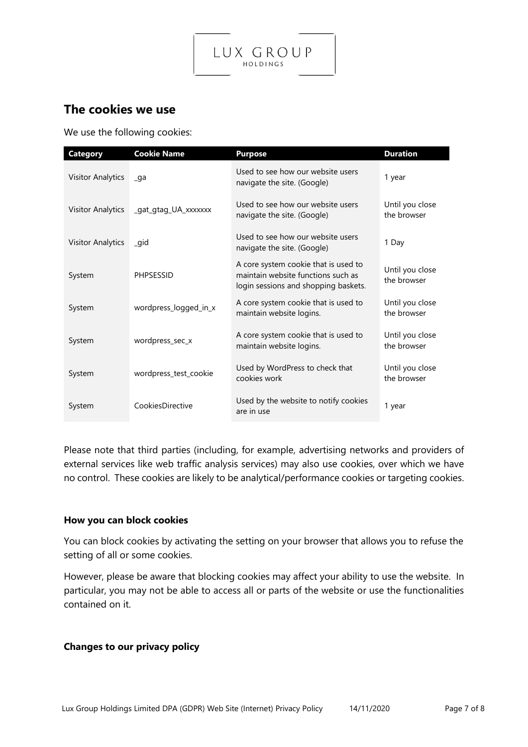

### **The cookies we use**

We use the following cookies:

| <b>Category</b>          | <b>Cookie Name</b>    | <b>Purpose</b>                                                                                                     | <b>Duration</b>                |
|--------------------------|-----------------------|--------------------------------------------------------------------------------------------------------------------|--------------------------------|
| <b>Visitor Analytics</b> | $\Box$ ga             | Used to see how our website users<br>navigate the site. (Google)                                                   | 1 year                         |
| <b>Visitor Analytics</b> | _gat_gtag_UA_xxxxxx   | Used to see how our website users<br>navigate the site. (Google)                                                   | Until you close<br>the browser |
| <b>Visitor Analytics</b> | qid                   | Used to see how our website users<br>navigate the site. (Google)                                                   | 1 Day                          |
| System                   | <b>PHPSESSID</b>      | A core system cookie that is used to<br>maintain website functions such as<br>login sessions and shopping baskets. | Until you close<br>the browser |
| System                   | wordpress_logged_in_x | A core system cookie that is used to<br>maintain website logins.                                                   | Until you close<br>the browser |
| System                   | wordpress_sec_x       | A core system cookie that is used to<br>maintain website logins.                                                   | Until you close<br>the browser |
| System                   | wordpress_test_cookie | Used by WordPress to check that<br>cookies work                                                                    | Until you close<br>the browser |
| System                   | CookiesDirective      | Used by the website to notify cookies<br>are in use                                                                | 1 year                         |

Please note that third parties (including, for example, advertising networks and providers of external services like web traffic analysis services) may also use cookies, over which we have no control. These cookies are likely to be analytical/performance cookies or targeting cookies.

#### **How you can block cookies**

You can block cookies by activating the setting on your browser that allows you to refuse the setting of all or some cookies.

However, please be aware that blocking cookies may affect your ability to use the website. In particular, you may not be able to access all or parts of the website or use the functionalities contained on it.

#### **Changes to our privacy policy**